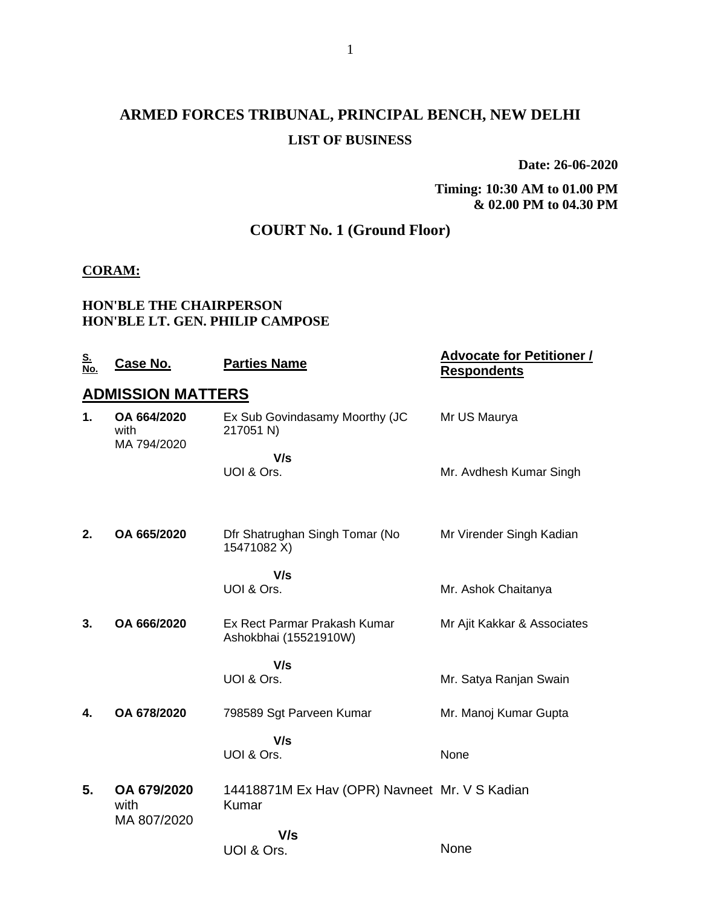## **ARMED FORCES TRIBUNAL, PRINCIPAL BENCH, NEW DELHI LIST OF BUSINESS**

**Date: 26-06-2020**

**Timing: 10:30 AM to 01.00 PM & 02.00 PM to 04.30 PM**

### **COURT No. 1 (Ground Floor)**

#### **CORAM:**

#### **HON'BLE THE CHAIRPERSON HON'BLE LT. GEN. PHILIP CAMPOSE**

| <u>S.<br/>No.</u> | <u>Case No.</u>                    | <b>Parties Name</b>                                    | <b>Advocate for Petitioner /</b><br><b>Respondents</b> |
|-------------------|------------------------------------|--------------------------------------------------------|--------------------------------------------------------|
|                   | <b>ADMISSION MATTERS</b>           |                                                        |                                                        |
| 1.                | OA 664/2020<br>with<br>MA 794/2020 | Ex Sub Govindasamy Moorthy (JC<br>217051 N)            | Mr US Maurya                                           |
|                   |                                    | V/s<br>UOI & Ors.                                      | Mr. Avdhesh Kumar Singh                                |
| 2.                | OA 665/2020                        | Dfr Shatrughan Singh Tomar (No<br>15471082 X)          | Mr Virender Singh Kadian                               |
|                   |                                    | V/s<br>UOI & Ors.                                      | Mr. Ashok Chaitanya                                    |
| 3.                | OA 666/2020                        | Ex Rect Parmar Prakash Kumar<br>Ashokbhai (15521910W)  | Mr Ajit Kakkar & Associates                            |
|                   |                                    | V/s<br>UOI & Ors.                                      | Mr. Satya Ranjan Swain                                 |
| 4.                | OA 678/2020                        | 798589 Sgt Parveen Kumar                               | Mr. Manoj Kumar Gupta                                  |
|                   |                                    | V/s<br>UOI & Ors.                                      | None                                                   |
| 5.                | OA 679/2020<br>with                | 14418871M Ex Hav (OPR) Navneet Mr. V S Kadian<br>Kumar |                                                        |
|                   | MA 807/2020                        | V/s<br>UOI & Ors.                                      | None                                                   |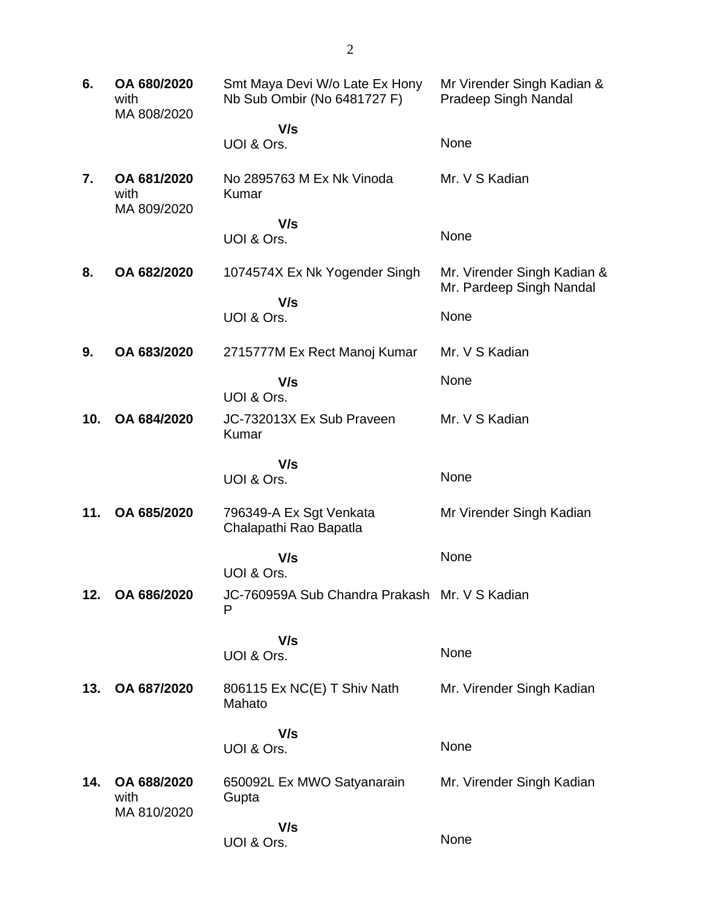| 6.  | OA 680/2020<br>with<br>MA 808/2020 | Smt Maya Devi W/o Late Ex Hony<br>Nb Sub Ombir (No 6481727 F) | Mr Virender Singh Kadian &<br><b>Pradeep Singh Nandal</b> |  |
|-----|------------------------------------|---------------------------------------------------------------|-----------------------------------------------------------|--|
|     |                                    | V/s                                                           |                                                           |  |
|     |                                    | UOI & Ors.                                                    | None                                                      |  |
| 7.  | OA 681/2020<br>with<br>MA 809/2020 | No 2895763 M Ex Nk Vinoda<br>Kumar                            | Mr. V S Kadian                                            |  |
|     |                                    | V/s                                                           |                                                           |  |
|     |                                    | UOI & Ors.                                                    | None                                                      |  |
| 8.  | OA 682/2020                        | 1074574X Ex Nk Yogender Singh                                 | Mr. Virender Singh Kadian &<br>Mr. Pardeep Singh Nandal   |  |
|     |                                    | V/s<br>UOI & Ors.                                             | None                                                      |  |
|     |                                    |                                                               |                                                           |  |
| 9.  | OA 683/2020                        | 2715777M Ex Rect Manoj Kumar                                  | Mr. V S Kadian                                            |  |
|     |                                    | V/s                                                           | None                                                      |  |
|     |                                    | UOI & Ors.                                                    |                                                           |  |
| 10. | OA 684/2020                        | JC-732013X Ex Sub Praveen<br>Kumar                            | Mr. V S Kadian                                            |  |
|     |                                    | V/s                                                           |                                                           |  |
|     |                                    | UOI & Ors.                                                    | None                                                      |  |
| 11. | OA 685/2020                        | 796349-A Ex Sgt Venkata<br>Chalapathi Rao Bapatla             | Mr Virender Singh Kadian                                  |  |
|     |                                    | V/s                                                           | None                                                      |  |
|     |                                    | UOI & Ors.                                                    |                                                           |  |
| 12. | OA 686/2020                        | JC-760959A Sub Chandra Prakash Mr. V S Kadian<br>P            |                                                           |  |
|     |                                    | V/s                                                           |                                                           |  |
|     |                                    | UOI & Ors.                                                    | None                                                      |  |
| 13. | OA 687/2020                        | 806115 Ex NC(E) T Shiv Nath<br>Mahato                         | Mr. Virender Singh Kadian                                 |  |
|     |                                    | V/s                                                           |                                                           |  |
|     |                                    | UOI & Ors.                                                    | None                                                      |  |
| 14. | OA 688/2020<br>with                | 650092L Ex MWO Satyanarain<br>Gupta                           | Mr. Virender Singh Kadian                                 |  |
|     | MA 810/2020                        | V/s<br>UOI & Ors.                                             | None                                                      |  |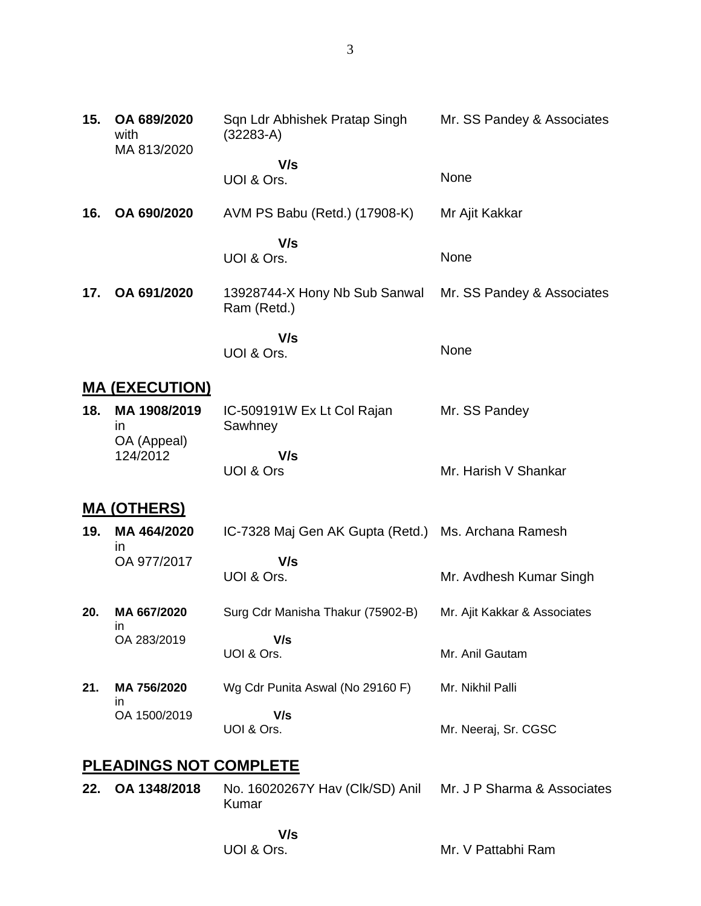| 15. | OA 689/2020<br>with<br>MA 813/2020       | Sqn Ldr Abhishek Pratap Singh<br>$(32283-A)$                         | Mr. SS Pandey & Associates   |
|-----|------------------------------------------|----------------------------------------------------------------------|------------------------------|
|     |                                          | V/s<br>UOI & Ors.                                                    | None                         |
| 16. | OA 690/2020                              | AVM PS Babu (Retd.) (17908-K)                                        | Mr Ajit Kakkar               |
|     |                                          | V/s<br>UOI & Ors.                                                    | None                         |
| 17. | OA 691/2020                              | 13928744-X Hony Nb Sub Sanwal<br>Ram (Retd.)                         | Mr. SS Pandey & Associates   |
|     |                                          | V/s<br>UOI & Ors.                                                    | None                         |
|     | <b>MA (EXECUTION)</b>                    |                                                                      |                              |
| 18. | MA 1908/2019<br><i>in</i><br>OA (Appeal) | IC-509191W Ex Lt Col Rajan<br>Sawhney                                | Mr. SS Pandey                |
|     | 124/2012                                 | V/s<br>UOI & Ors                                                     | Mr. Harish V Shankar         |
|     | <u>MA (OTHERS)</u>                       |                                                                      |                              |
| 19. | MA 464/2020<br>In                        | IC-7328 Maj Gen AK Gupta (Retd.)                                     | Ms. Archana Ramesh           |
|     | OA 977/2017                              | V/s<br>UOI & Ors.                                                    | Mr. Avdhesh Kumar Singh      |
| 20. | MA 667/2020                              | Surg Cdr Manisha Thakur (75902-B)                                    | Mr. Ajit Kakkar & Associates |
|     | ın<br>OA 283/2019                        | V/s<br>UOI & Ors.                                                    | Mr. Anil Gautam              |
| 21. | MA 756/2020<br>in                        | Wg Cdr Punita Aswal (No 29160 F)                                     | Mr. Nikhil Palli             |
|     | OA 1500/2019                             | V/s<br>UOI & Ors.                                                    | Mr. Neeraj, Sr. CGSC         |
|     | <b>PLEADINGS NOT COMPLETE</b>            |                                                                      |                              |
| 22. | OA 1348/2018                             | No. 16020267Y Hav (Clk/SD) Anil Mr. J P Sharma & Associates<br>Kumar |                              |
|     |                                          |                                                                      |                              |

# **V/s**

UOI & Ors.

Mr. V Pattabhi Ram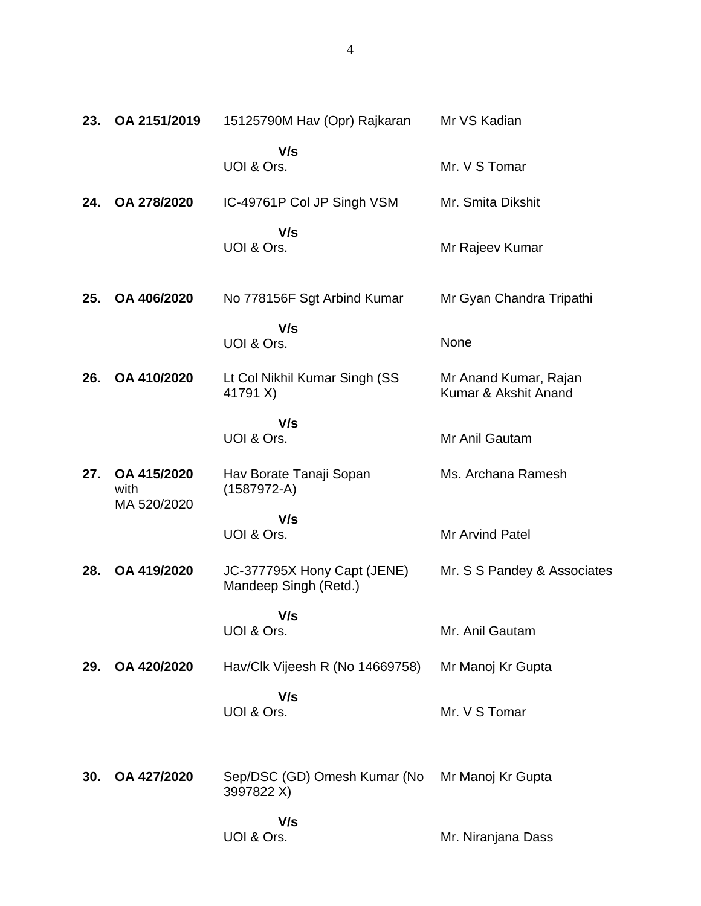| 23. | OA 2151/2019        | 15125790M Hav (Opr) Rajkaran                         | Mr VS Kadian                                  |
|-----|---------------------|------------------------------------------------------|-----------------------------------------------|
|     |                     | V/s<br>UOI & Ors.                                    | Mr. V S Tomar                                 |
| 24. | OA 278/2020         | IC-49761P Col JP Singh VSM                           | Mr. Smita Dikshit                             |
|     |                     | V/s<br>UOI & Ors.                                    | Mr Rajeev Kumar                               |
| 25. | OA 406/2020         | No 778156F Sgt Arbind Kumar                          | Mr Gyan Chandra Tripathi                      |
|     |                     | V/s<br>UOI & Ors.                                    | None                                          |
| 26. | OA 410/2020         | Lt Col Nikhil Kumar Singh (SS<br>41791 X)            | Mr Anand Kumar, Rajan<br>Kumar & Akshit Anand |
|     |                     | V/s<br>UOI & Ors.                                    | Mr Anil Gautam                                |
| 27. | OA 415/2020<br>with | Hav Borate Tanaji Sopan<br>$(1587972-A)$             | Ms. Archana Ramesh                            |
|     | MA 520/2020         | V/s<br>UOI & Ors.                                    | <b>Mr Arvind Patel</b>                        |
| 28. | OA 419/2020         | JC-377795X Hony Capt (JENE)<br>Mandeep Singh (Retd.) | Mr. S S Pandey & Associates                   |
|     |                     | V/s<br>UOI & Ors.                                    | Mr. Anil Gautam                               |
| 29. | OA 420/2020         | Hav/Clk Vijeesh R (No 14669758)                      | Mr Manoj Kr Gupta                             |
|     |                     | V/s<br>UOI & Ors.                                    | Mr. V S Tomar                                 |
| 30. | OA 427/2020         | Sep/DSC (GD) Omesh Kumar (No<br>3997822 X)           | Mr Manoj Kr Gupta                             |
|     |                     | V/s<br>UOI & Ors.                                    | Mr. Niranjana Dass                            |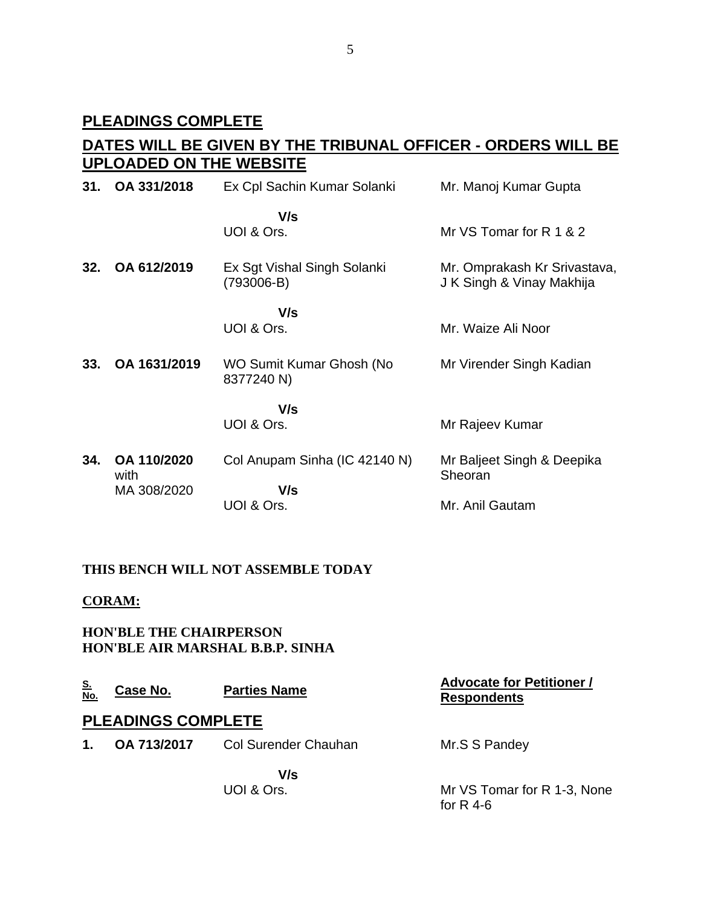### **PLEADINGS COMPLETE**

## **DATES WILL BE GIVEN BY THE TRIBUNAL OFFICER - ORDERS WILL BE UPLOADED ON THE WEBSITE**

| 31. | OA 331/2018         | Ex Cpl Sachin Kumar Solanki               | Mr. Manoj Kumar Gupta                                     |  |
|-----|---------------------|-------------------------------------------|-----------------------------------------------------------|--|
|     |                     | V/s<br>UOI & Ors.                         | Mr VS Tomar for R 1 & 2                                   |  |
| 32. | OA 612/2019         | Ex Sgt Vishal Singh Solanki<br>(793006-B) | Mr. Omprakash Kr Srivastava,<br>J K Singh & Vinay Makhija |  |
|     |                     | V/s<br>UOI & Ors.                         | Mr. Waize Ali Noor                                        |  |
| 33. | OA 1631/2019        | WO Sumit Kumar Ghosh (No<br>8377240 N)    | Mr Virender Singh Kadian                                  |  |
|     |                     | V/s                                       |                                                           |  |
|     |                     | UOI & Ors.                                | Mr Rajeev Kumar                                           |  |
| 34. | OA 110/2020<br>with | Col Anupam Sinha (IC 42140 N)             | Mr Baljeet Singh & Deepika<br>Sheoran                     |  |
|     | MA 308/2020         | V/s                                       |                                                           |  |
|     |                     | UOI & Ors.                                | Mr. Anil Gautam                                           |  |

### **THIS BENCH WILL NOT ASSEMBLE TODAY**

#### **CORAM:**

**HON'BLE THE CHAIRPERSON HON'BLE AIR MARSHAL B.B.P. SINHA**

| $\frac{S}{No}$ | Case No.                  | <b>Parties Name</b>  | <b>Advocate for Petitioner /</b><br><b>Respondents</b> |
|----------------|---------------------------|----------------------|--------------------------------------------------------|
|                | <b>PLEADINGS COMPLETE</b> |                      |                                                        |
| $\mathbf 1$ .  | OA 713/2017               | Col Surender Chauhan | Mr.S S Pandey                                          |
|                |                           | V/s                  |                                                        |
|                |                           | UOI & Ors.           | Mr VS Tomar for R 1-3, None<br>for $R$ 4-6             |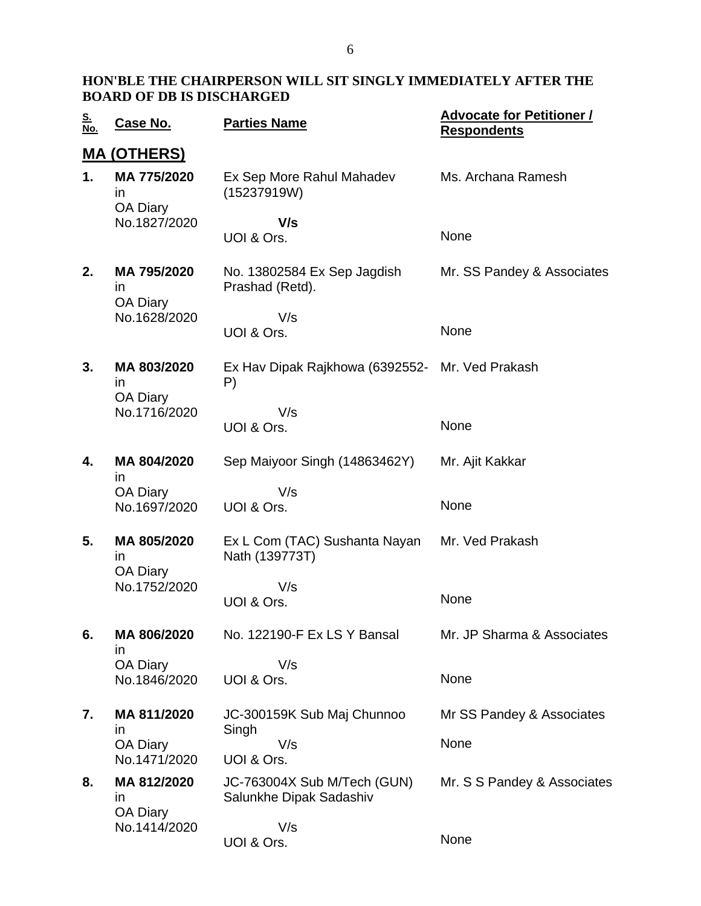| <u>S.</u><br>No. | <u>Case No.</u>                                      | <b>Parties Name</b>                                    | <b>Advocate for Petitioner /</b><br><b>Respondents</b> |  |  |
|------------------|------------------------------------------------------|--------------------------------------------------------|--------------------------------------------------------|--|--|
|                  | <u>MA (OTHERS)</u>                                   |                                                        |                                                        |  |  |
| 1.               | MA 775/2020<br>in<br>OA Diary                        | Ex Sep More Rahul Mahadev<br>(15237919W)               | Ms. Archana Ramesh                                     |  |  |
|                  | No.1827/2020                                         | V/s<br>UOI & Ors.                                      | None                                                   |  |  |
| 2.               | MA 795/2020<br>in<br>OA Diary                        | No. 13802584 Ex Sep Jagdish<br>Prashad (Retd).         | Mr. SS Pandey & Associates                             |  |  |
|                  | No.1628/2020                                         | V/s<br>UOI & Ors.                                      | None                                                   |  |  |
| 3.               | MA 803/2020<br>in<br>OA Diary                        | Ex Hav Dipak Rajkhowa (6392552-<br>P)                  | Mr. Ved Prakash                                        |  |  |
|                  | No.1716/2020                                         | V/s<br>UOI & Ors.                                      | None                                                   |  |  |
| 4.               | MA 804/2020                                          | Sep Maiyoor Singh (14863462Y)                          | Mr. Ajit Kakkar                                        |  |  |
|                  | ın<br>OA Diary<br>No.1697/2020                       | V/s<br>UOI & Ors.                                      | None                                                   |  |  |
| 5.               | MA 805/2020<br>in<br><b>OA Diary</b><br>No.1752/2020 | Ex L Com (TAC) Sushanta Nayan<br>Nath (139773T)        | Mr. Ved Prakash                                        |  |  |
|                  |                                                      | V/s<br>UOI & Ors.                                      | None                                                   |  |  |
| 6.               | MA 806/2020<br>in.<br>OA Diary<br>No.1846/2020       | No. 122190-F Ex LS Y Bansal                            | Mr. JP Sharma & Associates                             |  |  |
|                  |                                                      | V/s<br>UOI & Ors.                                      | None                                                   |  |  |
| 7.               | MA 811/2020                                          | JC-300159K Sub Maj Chunnoo                             | Mr SS Pandey & Associates                              |  |  |
|                  | in<br><b>OA Diary</b><br>No.1471/2020                | Singh<br>V/s<br>UOI & Ors.                             | None                                                   |  |  |
| 8.               | MA 812/2020<br>in<br><b>OA Diary</b>                 | JC-763004X Sub M/Tech (GUN)<br>Salunkhe Dipak Sadashiv | Mr. S S Pandey & Associates                            |  |  |
|                  | No.1414/2020                                         | V/s<br>UOI & Ors.                                      | None                                                   |  |  |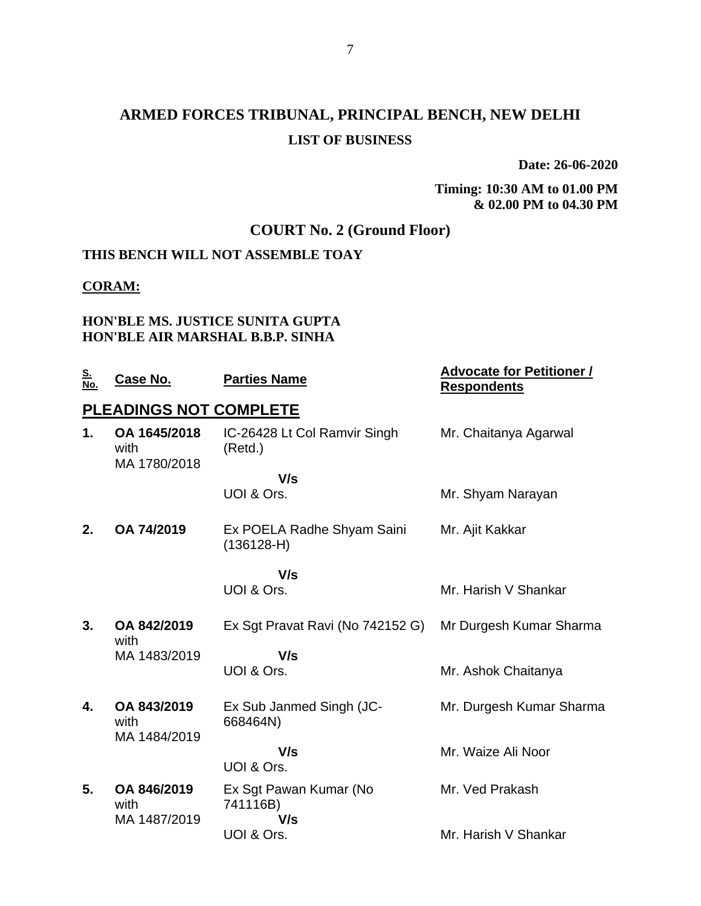## **ARMED FORCES TRIBUNAL, PRINCIPAL BENCH, NEW DELHI LIST OF BUSINESS**

**Date: 26-06-2020**

**Timing: 10:30 AM to 01.00 PM & 02.00 PM to 04.30 PM**

### **COURT No. 2 (Ground Floor)**

## **THIS BENCH WILL NOT ASSEMBLE TOAY**

### **CORAM:**

#### **HON'BLE MS. JUSTICE SUNITA GUPTA HON'BLE AIR MARSHAL B.B.P. SINHA**

| <u>S.</u><br>No. | Case No.                             | <b>Parties Name</b>                        | <b>Advocate for Petitioner /</b><br><b>Respondents</b> |
|------------------|--------------------------------------|--------------------------------------------|--------------------------------------------------------|
|                  | PLEADINGS NOT COMPLETE               |                                            |                                                        |
| 1.               | OA 1645/2018<br>with<br>MA 1780/2018 | IC-26428 Lt Col Ramvir Singh<br>(Retd.)    | Mr. Chaitanya Agarwal                                  |
|                  |                                      | V/s                                        |                                                        |
|                  |                                      | UOI & Ors.                                 | Mr. Shyam Narayan                                      |
| 2.               | OA 74/2019                           | Ex POELA Radhe Shyam Saini<br>$(136128-H)$ | Mr. Ajit Kakkar                                        |
|                  |                                      | V/s                                        |                                                        |
|                  |                                      | UOI & Ors.                                 | Mr. Harish V Shankar                                   |
| 3.               | OA 842/2019<br>with                  | Ex Sgt Pravat Ravi (No 742152 G)           | Mr Durgesh Kumar Sharma                                |
|                  | MA 1483/2019                         | V/s                                        |                                                        |
|                  |                                      | UOI & Ors.                                 | Mr. Ashok Chaitanya                                    |
| 4.               | OA 843/2019<br>with<br>MA 1484/2019  | Ex Sub Janmed Singh (JC-<br>668464N)       | Mr. Durgesh Kumar Sharma                               |
|                  |                                      | V/s<br>UOI & Ors.                          | Mr. Waize Ali Noor                                     |
| 5.               | OA 846/2019<br>with                  | Ex Sgt Pawan Kumar (No<br>741116B)         | Mr. Ved Prakash                                        |
|                  | MA 1487/2019                         | V/s<br>UOI & Ors.                          | Mr. Harish V Shankar                                   |
|                  |                                      |                                            |                                                        |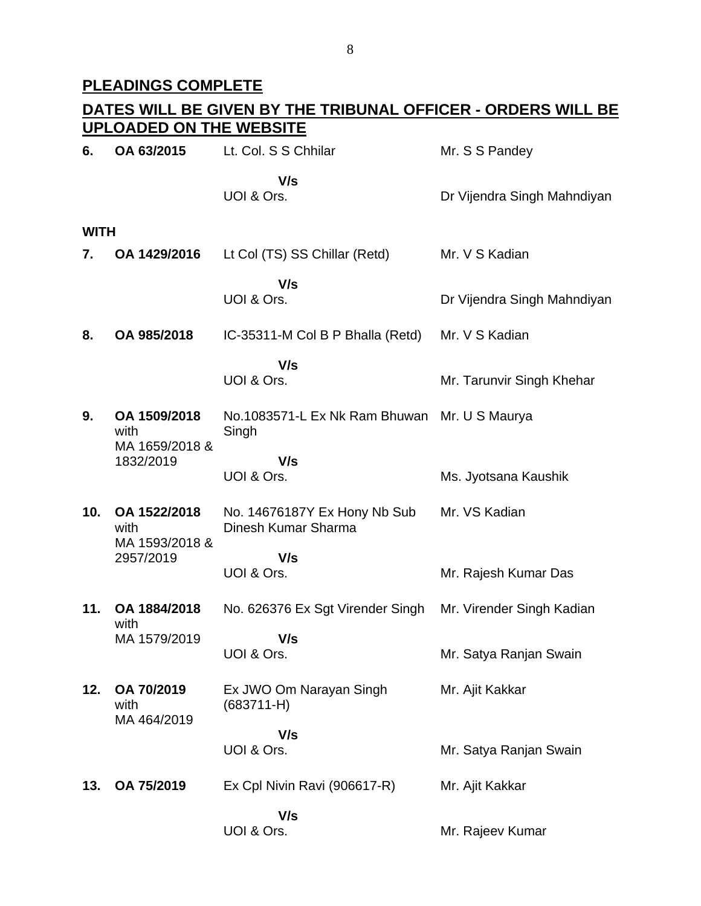## **PLEADINGS COMPLETE**

|             | DATES WILL BE GIVEN BY THE TRIBUNAL OFFICER - ORDERS WILL BE<br><b>UPLOADED ON THE WEBSITE</b> |                                                     |                             |  |  |
|-------------|------------------------------------------------------------------------------------------------|-----------------------------------------------------|-----------------------------|--|--|
| 6.          | OA 63/2015                                                                                     | Lt. Col. S S Chhilar                                | Mr. S S Pandey              |  |  |
|             |                                                                                                | V/s<br>UOI & Ors.                                   | Dr Vijendra Singh Mahndiyan |  |  |
| <b>WITH</b> |                                                                                                |                                                     |                             |  |  |
| 7.          | OA 1429/2016                                                                                   | Lt Col (TS) SS Chillar (Retd)                       | Mr. V S Kadian              |  |  |
|             |                                                                                                | V/s<br>UOI & Ors.                                   | Dr Vijendra Singh Mahndiyan |  |  |
| 8.          | OA 985/2018                                                                                    | IC-35311-M Col B P Bhalla (Retd)                    | Mr. V S Kadian              |  |  |
|             |                                                                                                | V/s<br>UOI & Ors.                                   | Mr. Tarunvir Singh Khehar   |  |  |
| 9.          | OA 1509/2018<br>with<br>MA 1659/2018 &<br>1832/2019                                            | No.1083571-L Ex Nk Ram Bhuwan<br>Singh              | Mr. U S Maurya              |  |  |
|             |                                                                                                | V/s<br>UOI & Ors.                                   | Ms. Jyotsana Kaushik        |  |  |
| 10.         | OA 1522/2018<br>with<br>MA 1593/2018 &<br>2957/2019                                            | No. 14676187Y Ex Hony Nb Sub<br>Dinesh Kumar Sharma | Mr. VS Kadian               |  |  |
|             |                                                                                                | V/s<br>UOI & Ors.                                   | Mr. Rajesh Kumar Das        |  |  |
| 11.         | OA 1884/2018<br>with                                                                           | No. 626376 Ex Sgt Virender Singh                    | Mr. Virender Singh Kadian   |  |  |
|             | MA 1579/2019                                                                                   | V/s<br>UOI & Ors.                                   | Mr. Satya Ranjan Swain      |  |  |
| 12.         | OA 70/2019<br>with<br>MA 464/2019                                                              | Ex JWO Om Narayan Singh<br>$(683711 - H)$           | Mr. Ajit Kakkar             |  |  |
|             |                                                                                                | V/s<br>UOI & Ors.                                   | Mr. Satya Ranjan Swain      |  |  |
| 13.         | OA 75/2019                                                                                     | Ex Cpl Nivin Ravi (906617-R)                        | Mr. Ajit Kakkar             |  |  |
|             |                                                                                                | V/s<br>UOI & Ors.                                   | Mr. Rajeev Kumar            |  |  |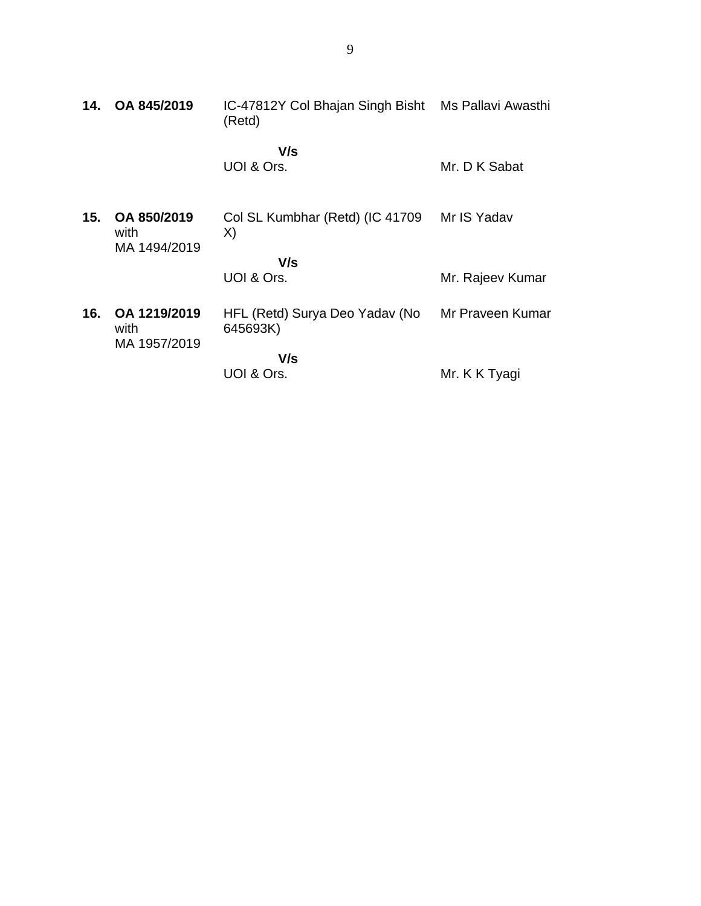| 14. | OA 845/2019                          | IC-47812Y Col Bhajan Singh Bisht Ms Pallavi Awasthi<br>(Retd) |                  |
|-----|--------------------------------------|---------------------------------------------------------------|------------------|
|     |                                      | V/s<br>UOI & Ors.                                             | Mr. D K Sabat    |
| 15. | OA 850/2019<br>with<br>MA 1494/2019  | Col SL Kumbhar (Retd) (IC 41709<br>X)                         | Mr IS Yadav      |
|     |                                      | V/s                                                           |                  |
|     |                                      | UOI & Ors.                                                    | Mr. Rajeev Kumar |
| 16. | OA 1219/2019<br>with<br>MA 1957/2019 | HFL (Retd) Surya Deo Yadav (No<br>645693K)                    | Mr Praveen Kumar |
|     |                                      | V/s                                                           |                  |
|     |                                      | UOI & Ors.                                                    | Mr. K K Tyagi    |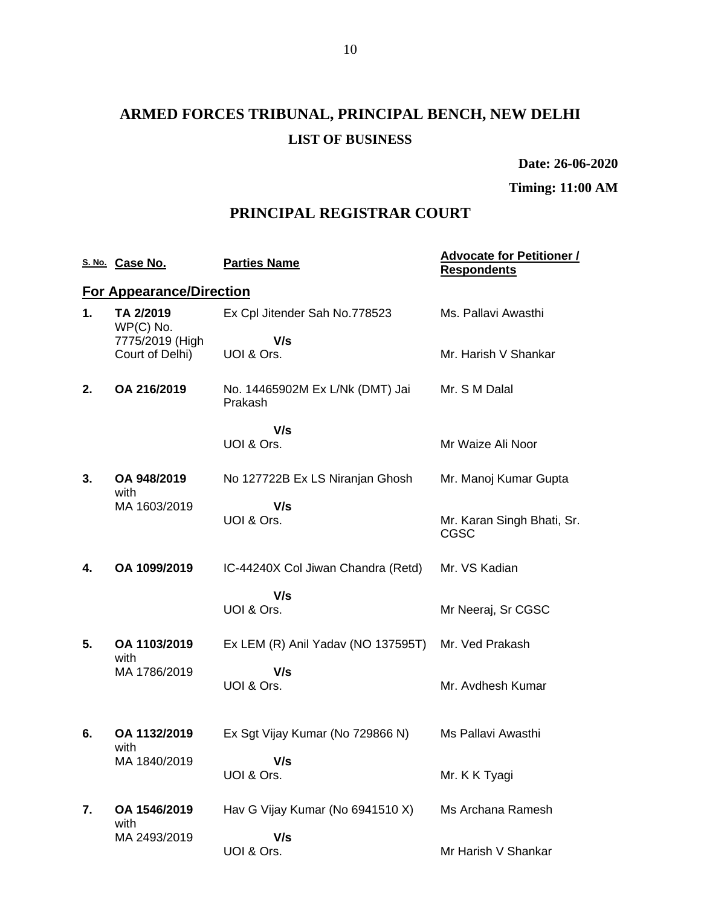## **ARMED FORCES TRIBUNAL, PRINCIPAL BENCH, NEW DELHI LIST OF BUSINESS**

**Date: 26-06-2020**

**Timing: 11:00 AM**

### **PRINCIPAL REGISTRAR COURT**

|    | S. No. Case No.                    | <b>Parties Name</b>                        | <b>Advocate for Petitioner /</b><br><b>Respondents</b> |
|----|------------------------------------|--------------------------------------------|--------------------------------------------------------|
|    | <b>For Appearance/Direction</b>    |                                            |                                                        |
| 1. | TA 2/2019<br>WP(C) No.             | Ex Cpl Jitender Sah No.778523              | Ms. Pallavi Awasthi                                    |
|    | 7775/2019 (High<br>Court of Delhi) | V/s<br>UOI & Ors.                          | Mr. Harish V Shankar                                   |
| 2. | OA 216/2019                        | No. 14465902M Ex L/Nk (DMT) Jai<br>Prakash | Mr. S M Dalal                                          |
|    |                                    | V/s<br>UOI & Ors.                          | Mr Waize Ali Noor                                      |
|    |                                    |                                            |                                                        |
| 3. | OA 948/2019<br>with                | No 127722B Ex LS Niranjan Ghosh            | Mr. Manoj Kumar Gupta                                  |
|    | MA 1603/2019                       | V/s<br>UOI & Ors.                          | Mr. Karan Singh Bhati, Sr.<br><b>CGSC</b>              |
| 4. | OA 1099/2019                       | IC-44240X Col Jiwan Chandra (Retd)         | Mr. VS Kadian                                          |
|    |                                    | V/s<br>UOI & Ors.                          | Mr Neeraj, Sr CGSC                                     |
| 5. | OA 1103/2019<br>with               | Ex LEM (R) Anil Yadav (NO 137595T)         | Mr. Ved Prakash                                        |
|    | MA 1786/2019                       | V/s<br>UOI & Ors.                          | Mr. Avdhesh Kumar                                      |
| 6. | OA 1132/2019<br>with               | Ex Sgt Vijay Kumar (No 729866 N)           | Ms Pallavi Awasthi                                     |
|    | MA 1840/2019                       | V/s<br>UOI & Ors.                          | Mr. K K Tyagi                                          |
| 7. | OA 1546/2019<br>with               | Hav G Vijay Kumar (No 6941510 X)           | Ms Archana Ramesh                                      |
|    | MA 2493/2019                       | V/s<br>UOI & Ors.                          | Mr Harish V Shankar                                    |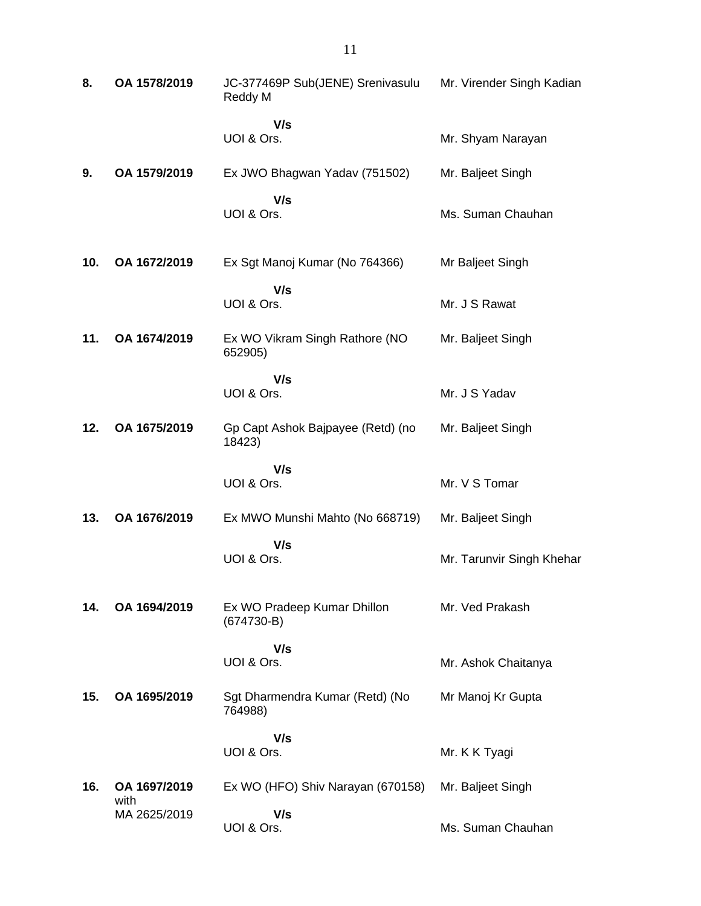| 8.  | OA 1578/2019         | JC-377469P Sub(JENE) Srenivasulu<br>Reddy M | Mr. Virender Singh Kadian |
|-----|----------------------|---------------------------------------------|---------------------------|
|     |                      | V/s<br>UOI & Ors.                           | Mr. Shyam Narayan         |
| 9.  | OA 1579/2019         | Ex JWO Bhagwan Yadav (751502)               | Mr. Baljeet Singh         |
|     |                      | V/s<br>UOI & Ors.                           | Ms. Suman Chauhan         |
| 10. | OA 1672/2019         | Ex Sgt Manoj Kumar (No 764366)              | Mr Baljeet Singh          |
|     |                      | V/s<br>UOI & Ors.                           | Mr. J S Rawat             |
| 11. | OA 1674/2019         | Ex WO Vikram Singh Rathore (NO<br>652905)   | Mr. Baljeet Singh         |
|     |                      | V/s<br>UOI & Ors.                           | Mr. J S Yadav             |
| 12. | OA 1675/2019         | Gp Capt Ashok Bajpayee (Retd) (no<br>18423) | Mr. Baljeet Singh         |
|     |                      | V/s<br>UOI & Ors.                           | Mr. V S Tomar             |
| 13. | OA 1676/2019         | Ex MWO Munshi Mahto (No 668719)             | Mr. Baljeet Singh         |
|     |                      | V/s<br>UOI & Ors.                           | Mr. Tarunvir Singh Khehar |
| 14. | OA 1694/2019         | Ex WO Pradeep Kumar Dhillon<br>$(674730-B)$ | Mr. Ved Prakash           |
|     |                      | V/s<br>UOI & Ors.                           | Mr. Ashok Chaitanya       |
| 15. | OA 1695/2019         | Sgt Dharmendra Kumar (Retd) (No<br>764988)  | Mr Manoj Kr Gupta         |
|     |                      | V/s<br>UOI & Ors.                           | Mr. K K Tyagi             |
| 16. | OA 1697/2019<br>with | Ex WO (HFO) Shiv Narayan (670158)           | Mr. Baljeet Singh         |
|     | MA 2625/2019         | V/s<br>UOI & Ors.                           | Ms. Suman Chauhan         |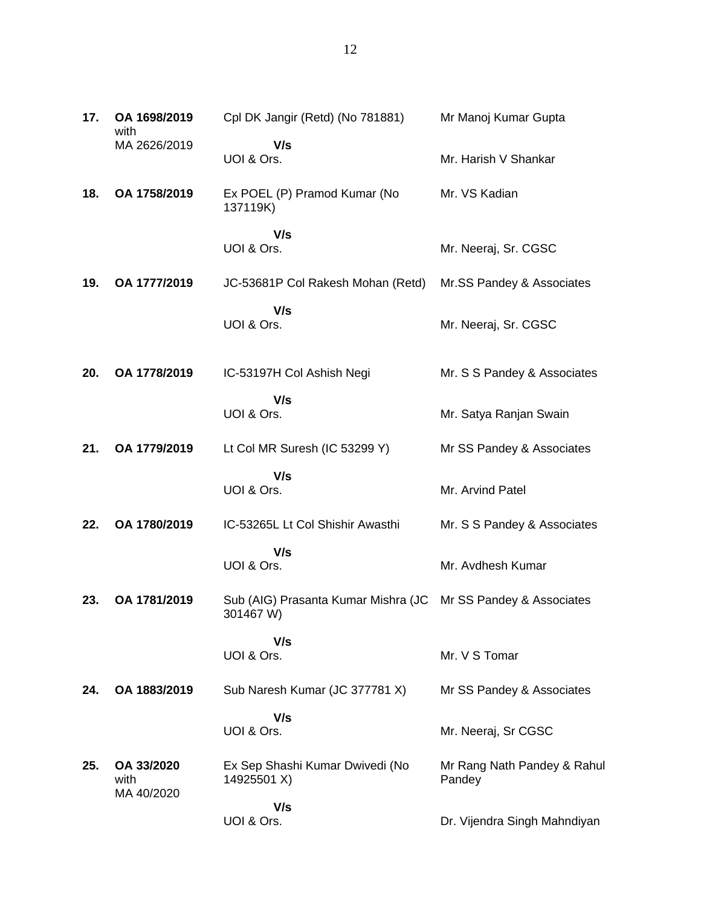| 17. | OA 1698/2019<br>with             | Cpl DK Jangir (Retd) (No 781881)                 | Mr Manoj Kumar Gupta                  |
|-----|----------------------------------|--------------------------------------------------|---------------------------------------|
|     | MA 2626/2019                     | V/s<br>UOI & Ors.                                | Mr. Harish V Shankar                  |
| 18. | OA 1758/2019                     | Ex POEL (P) Pramod Kumar (No<br>137119K)         | Mr. VS Kadian                         |
|     |                                  | V/s<br>UOI & Ors.                                | Mr. Neeraj, Sr. CGSC                  |
| 19. | OA 1777/2019                     | JC-53681P Col Rakesh Mohan (Retd)                | Mr.SS Pandey & Associates             |
|     |                                  | V/s<br>UOI & Ors.                                | Mr. Neeraj, Sr. CGSC                  |
| 20. | OA 1778/2019                     | IC-53197H Col Ashish Negi                        | Mr. S S Pandey & Associates           |
|     |                                  | V/s<br>UOI & Ors.                                | Mr. Satya Ranjan Swain                |
| 21. | OA 1779/2019                     | Lt Col MR Suresh (IC 53299 Y)                    | Mr SS Pandey & Associates             |
|     |                                  | V/s<br>UOI & Ors.                                | Mr. Arvind Patel                      |
| 22. | OA 1780/2019                     | IC-53265L Lt Col Shishir Awasthi                 | Mr. S S Pandey & Associates           |
|     |                                  | V/s<br>UOI & Ors.                                | Mr. Avdhesh Kumar                     |
| 23. | OA 1781/2019                     | Sub (AIG) Prasanta Kumar Mishra (JC<br>301467 W) | Mr SS Pandey & Associates             |
|     |                                  | V/s<br>UOI & Ors.                                | Mr. V S Tomar                         |
| 24. | OA 1883/2019                     | Sub Naresh Kumar (JC 377781 X)                   | Mr SS Pandey & Associates             |
|     |                                  | V/s<br>UOI & Ors.                                | Mr. Neeraj, Sr CGSC                   |
| 25. | OA 33/2020<br>with<br>MA 40/2020 | Ex Sep Shashi Kumar Dwivedi (No<br>14925501 X)   | Mr Rang Nath Pandey & Rahul<br>Pandey |
|     |                                  | V/s<br>UOI & Ors.                                | Dr. Vijendra Singh Mahndiyan          |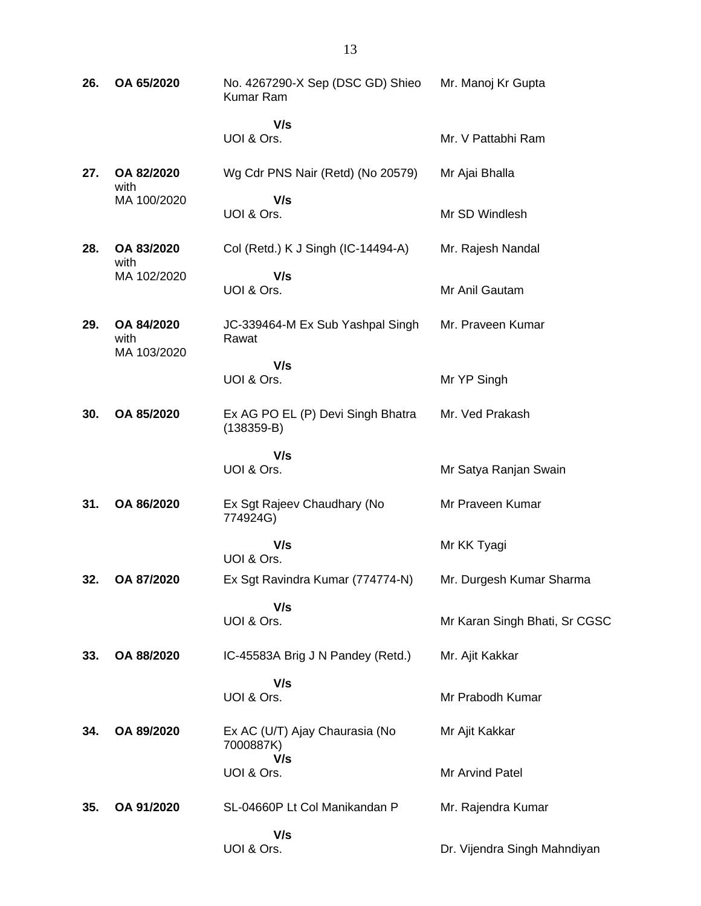| 26. | OA 65/2020                        | No. 4267290-X Sep (DSC GD) Shieo<br>Kumar Ram      | Mr. Manoj Kr Gupta            |
|-----|-----------------------------------|----------------------------------------------------|-------------------------------|
|     |                                   | V/s<br>UOI & Ors.                                  | Mr. V Pattabhi Ram            |
| 27. | OA 82/2020<br>with                | Wg Cdr PNS Nair (Retd) (No 20579)                  | Mr Ajai Bhalla                |
|     | MA 100/2020                       | V/s<br>UOI & Ors.                                  | Mr SD Windlesh                |
| 28. | OA 83/2020<br>with                | Col (Retd.) K J Singh (IC-14494-A)                 | Mr. Rajesh Nandal             |
|     | MA 102/2020                       | V/s<br>UOI & Ors.                                  | Mr Anil Gautam                |
| 29. | OA 84/2020<br>with<br>MA 103/2020 | JC-339464-M Ex Sub Yashpal Singh<br>Rawat          | Mr. Praveen Kumar             |
|     |                                   | V/s<br>UOI & Ors.                                  | Mr YP Singh                   |
| 30. | OA 85/2020                        | Ex AG PO EL (P) Devi Singh Bhatra<br>$(138359-B)$  | Mr. Ved Prakash               |
|     |                                   | V/s<br>UOI & Ors.                                  | Mr Satya Ranjan Swain         |
| 31. | OA 86/2020                        | Ex Sgt Rajeev Chaudhary (No<br>774924G)            | Mr Praveen Kumar              |
|     |                                   | V/s<br>UOI & Ors.                                  | Mr KK Tyagi                   |
| 32. | OA 87/2020                        | Ex Sgt Ravindra Kumar (774774-N)                   | Mr. Durgesh Kumar Sharma      |
|     |                                   | V/s<br>UOI & Ors.                                  | Mr Karan Singh Bhati, Sr CGSC |
| 33. | OA 88/2020                        | IC-45583A Brig J N Pandey (Retd.)                  | Mr. Ajit Kakkar               |
|     |                                   | V/s<br>UOI & Ors.                                  | Mr Prabodh Kumar              |
| 34. | OA 89/2020                        | Ex AC (U/T) Ajay Chaurasia (No<br>7000887K)<br>V/s | Mr Ajit Kakkar                |
|     |                                   | UOI & Ors.                                         | Mr Arvind Patel               |
| 35. | OA 91/2020                        | SL-04660P Lt Col Manikandan P                      | Mr. Rajendra Kumar            |
|     |                                   | V/s<br>UOI & Ors.                                  | Dr. Vijendra Singh Mahndiyan  |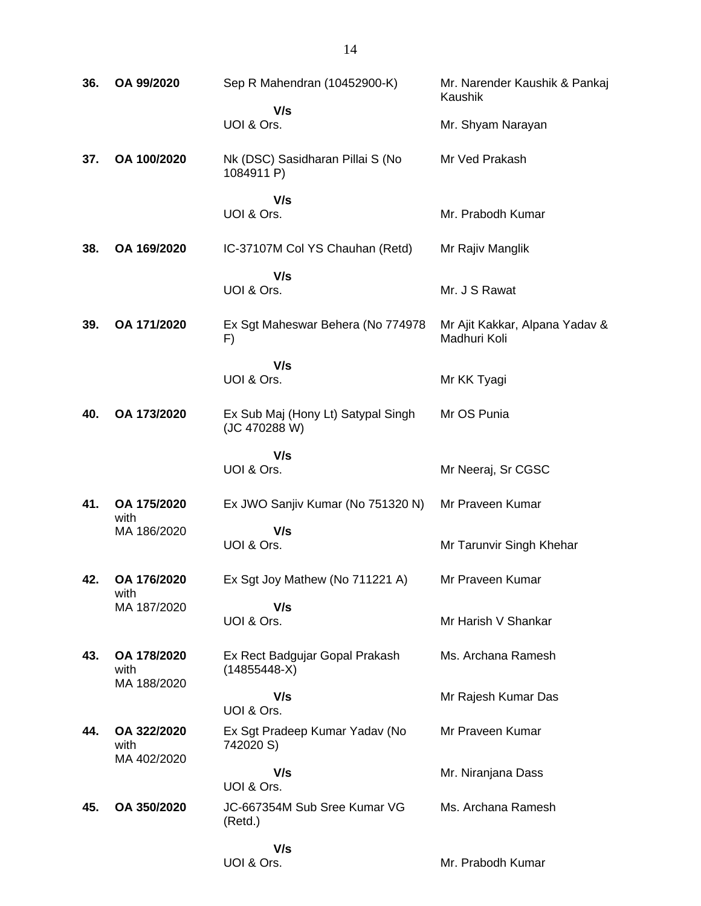| 36. | OA 99/2020                         | Sep R Mahendran (10452900-K)                        | Mr. Narender Kaushik & Pankaj<br>Kaushik       |
|-----|------------------------------------|-----------------------------------------------------|------------------------------------------------|
|     |                                    | V/s<br>UOI & Ors.                                   | Mr. Shyam Narayan                              |
| 37. | OA 100/2020                        | Nk (DSC) Sasidharan Pillai S (No<br>1084911 P)      | Mr Ved Prakash                                 |
|     |                                    | V/s<br>UOI & Ors.                                   | Mr. Prabodh Kumar                              |
| 38. | OA 169/2020                        | IC-37107M Col YS Chauhan (Retd)                     | Mr Rajiv Manglik                               |
|     |                                    | V/s<br>UOI & Ors.                                   | Mr. J S Rawat                                  |
| 39. | OA 171/2020                        | Ex Sgt Maheswar Behera (No 774978<br>F)             | Mr Ajit Kakkar, Alpana Yadav &<br>Madhuri Koli |
|     |                                    | V/s<br>UOI & Ors.                                   | Mr KK Tyagi                                    |
| 40. | OA 173/2020                        | Ex Sub Maj (Hony Lt) Satypal Singh<br>(JC 470288 W) | Mr OS Punia                                    |
|     |                                    | V/s<br>UOI & Ors.                                   | Mr Neeraj, Sr CGSC                             |
| 41. | OA 175/2020<br>with                | Ex JWO Sanjiv Kumar (No 751320 N)                   | Mr Praveen Kumar                               |
|     | MA 186/2020                        | V/s<br>UOI & Ors.                                   | Mr Tarunvir Singh Khehar                       |
| 42. | OA 176/2020<br>with                | Ex Sgt Joy Mathew (No 711221 A)                     | Mr Praveen Kumar                               |
|     | MA 187/2020                        | V/s<br>UOI & Ors.                                   | Mr Harish V Shankar                            |
| 43. | OA 178/2020<br>with<br>MA 188/2020 | Ex Rect Badgujar Gopal Prakash<br>$(14855448-X)$    | Ms. Archana Ramesh                             |
|     |                                    | V/s<br>UOI & Ors.                                   | Mr Rajesh Kumar Das                            |
| 44. | OA 322/2020<br>with<br>MA 402/2020 | Ex Sgt Pradeep Kumar Yadav (No<br>742020 S)         | Mr Praveen Kumar                               |
|     |                                    | V/s<br>UOI & Ors.                                   | Mr. Niranjana Dass                             |
| 45. | OA 350/2020                        | JC-667354M Sub Sree Kumar VG<br>(Retd.)             | Ms. Archana Ramesh                             |
|     |                                    | V/s<br>UOI & Ors.                                   | Mr. Prabodh Kumar                              |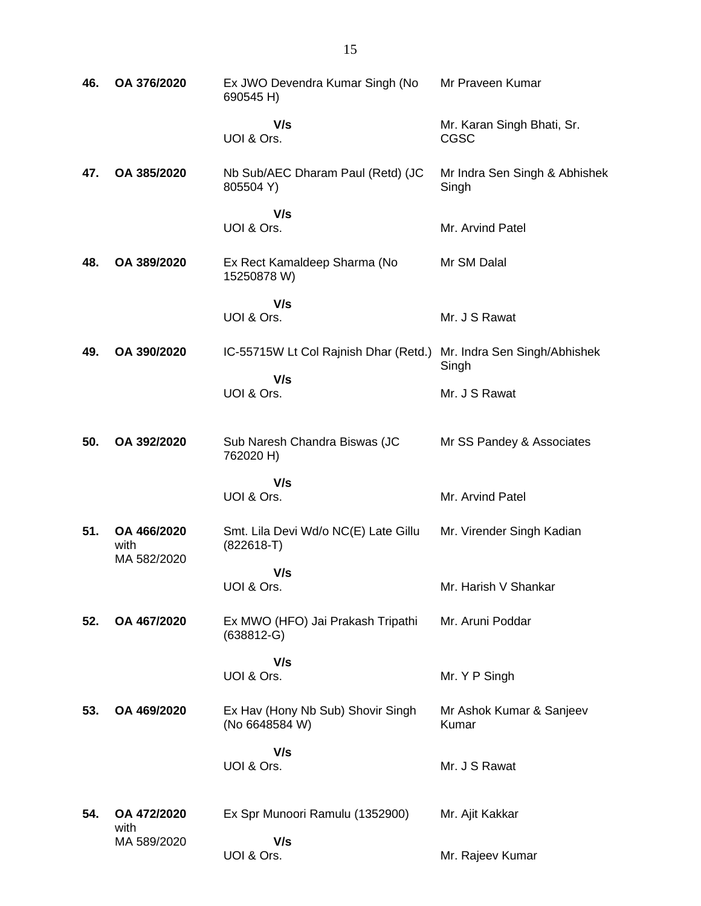| 46. | OA 376/2020                        | Ex JWO Devendra Kumar Singh (No<br>690545 H)         | Mr Praveen Kumar                          |
|-----|------------------------------------|------------------------------------------------------|-------------------------------------------|
|     |                                    | V/s<br>UOI & Ors.                                    | Mr. Karan Singh Bhati, Sr.<br><b>CGSC</b> |
| 47. | OA 385/2020                        | Nb Sub/AEC Dharam Paul (Retd) (JC<br>805504 Y)       | Mr Indra Sen Singh & Abhishek<br>Singh    |
|     |                                    | V/s<br>UOI & Ors.                                    | Mr. Arvind Patel                          |
| 48. | OA 389/2020                        | Ex Rect Kamaldeep Sharma (No<br>15250878 W)          | Mr SM Dalal                               |
|     |                                    | V/s<br>UOI & Ors.                                    | Mr. J S Rawat                             |
| 49. | OA 390/2020                        | IC-55715W Lt Col Rajnish Dhar (Retd.)                | Mr. Indra Sen Singh/Abhishek<br>Singh     |
|     |                                    | V/s<br>UOI & Ors.                                    | Mr. J S Rawat                             |
| 50. | OA 392/2020                        | Sub Naresh Chandra Biswas (JC<br>762020 H)           | Mr SS Pandey & Associates                 |
|     |                                    | V/s<br>UOI & Ors.                                    | Mr. Arvind Patel                          |
| 51. | OA 466/2020<br>with<br>MA 582/2020 | Smt. Lila Devi Wd/o NC(E) Late Gillu<br>$(822618-T)$ | Mr. Virender Singh Kadian                 |
|     |                                    | V/s<br>UOI & Ors.                                    | Mr. Harish V Shankar                      |
| 52. | OA 467/2020                        | Ex MWO (HFO) Jai Prakash Tripathi<br>$(638812-G)$    | Mr. Aruni Poddar                          |
|     |                                    | V/s<br>UOI & Ors.                                    | Mr. Y P Singh                             |
| 53. | OA 469/2020                        | Ex Hav (Hony Nb Sub) Shovir Singh<br>(No 6648584 W)  | Mr Ashok Kumar & Sanjeev<br>Kumar         |
|     |                                    | V/s<br>UOI & Ors.                                    | Mr. J S Rawat                             |
| 54. | OA 472/2020<br>with                | Ex Spr Munoori Ramulu (1352900)                      | Mr. Ajit Kakkar                           |
|     | MA 589/2020                        | V/s<br>UOI & Ors.                                    | Mr. Rajeev Kumar                          |